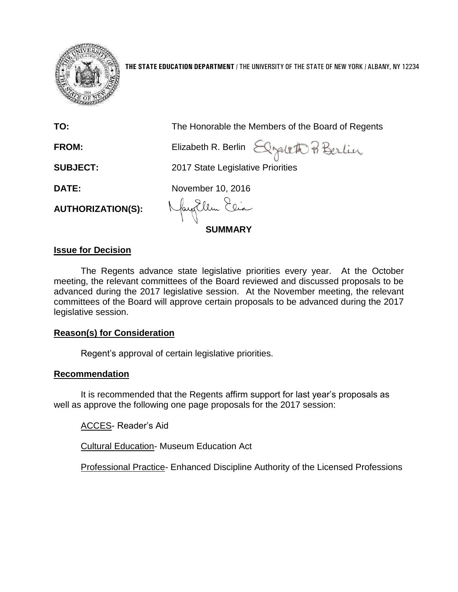

**THE STATE EDUCATION DEPARTMENT** / THE UNIVERSITY OF THE STATE OF NEW YORK / ALBANY, NY 12234

| TO:                      | The Honorable the Members of the Board of Regents |
|--------------------------|---------------------------------------------------|
| <b>FROM:</b>             | Elizabeth R. Berlin Elgaleth P. Berlin            |
| <b>SUBJECT:</b>          | 2017 State Legislative Priorities                 |
| DATE:                    | November 10, 2016                                 |
| <b>AUTHORIZATION(S):</b> | Nayollen Elia                                     |
|                          | <b>SUMMARY</b>                                    |

### **Issue for Decision**

The Regents advance state legislative priorities every year. At the October meeting, the relevant committees of the Board reviewed and discussed proposals to be advanced during the 2017 legislative session. At the November meeting, the relevant committees of the Board will approve certain proposals to be advanced during the 2017 legislative session.

### **Reason(s) for Consideration**

Regent's approval of certain legislative priorities.

### **Recommendation**

It is recommended that the Regents affirm support for last year's proposals as well as approve the following one page proposals for the 2017 session:

ACCES- Reader's Aid

Cultural Education- Museum Education Act

Professional Practice- Enhanced Discipline Authority of the Licensed Professions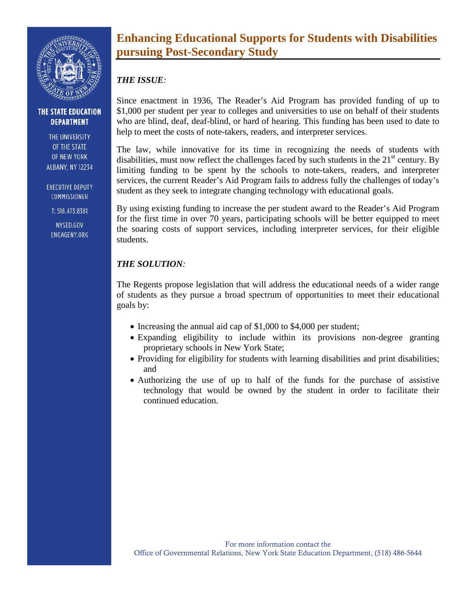

#### THE STATE EDUCATION **DEPARTMENT**

THE UNIVERSITY OF THE STATE OF NEW YORK **ALBANY, NY 12234** 

**EXECUTIVE DEPUTY** COMMISSIONER

T: 518.473.8381

NYSED.GOV ENGAGENY.ORG

# **Enhancing Educational Supports for Students with Disabilities pursuing Post-Secondary Study**

## *THE ISSUE:*

Since enactment in 1936, The Reader's Aid Program has provided funding of up to \$1,000 per student per year to colleges and universities to use on behalf of their students who are blind, deaf, deaf-blind, or hard of hearing. This funding has been used to date to help to meet the costs of note-takers, readers, and interpreter services.

The law, while innovative for its time in recognizing the needs of students with disabilities, must now reflect the challenges faced by such students in the  $21<sup>st</sup>$  century. By limiting funding to be spent by the schools to note-takers, readers, and interpreter services, the current Reader's Aid Program fails to address fully the challenges of today's student as they seek to integrate changing technology with educational goals.

By using existing funding to increase the per student award to the Reader's Aid Program for the first time in over 70 years, participating schools will be better equipped to meet the soaring costs of support services, including interpreter services, for their eligible students.

## *THE SOLUTION:*

The Regents propose legislation that will address the educational needs of a wider range of students as they pursue a broad spectrum of opportunities to meet their educational goals by:

- Increasing the annual aid cap of \$1,000 to \$4,000 per student;
- Expanding eligibility to include within its provisions non-degree granting proprietary schools in New York State;
- Providing for eligibility for students with learning disabilities and print disabilities; and
- Authorizing the use of up to half of the funds for the purchase of assistive technology that would be owned by the student in order to facilitate their continued education.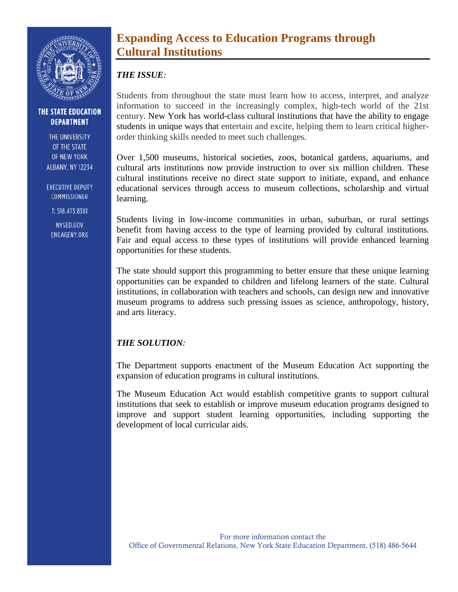

#### THE STATE EDUCATION **DEPARTMENT**

THE UNIVERSITY OF THE STATE OF NEW YORK **ALBANY, NY 12234** 

**EXECUTIVE DEPUTY** COMMISSIONER

T: 518.473.8381

NYSED.GOV ENGAGENY.ORG

## **Expanding Access to Education Programs through Cultural Institutions**

### *THE ISSUE:*

Students from throughout the state must learn how to access, interpret, and analyze information to succeed in the increasingly complex, high-tech world of the 21st century. New York has world-class cultural institutions that have the ability to engage students in unique ways that entertain and excite, helping them to learn critical higherorder thinking skills needed to meet such challenges.

Over 1,500 museums, historical societies, zoos, botanical gardens, aquariums, and cultural arts institutions now provide instruction to over six million children. These cultural institutions receive no direct state support to initiate, expand, and enhance educational services through access to museum collections, scholarship and virtual learning.

Students living in low-income communities in urban, suburban, or rural settings benefit from having access to the type of learning provided by cultural institutions. Fair and equal access to these types of institutions will provide enhanced learning opportunities for these students.

The state should support this programming to better ensure that these unique learning opportunities can be expanded to children and lifelong learners of the state. Cultural institutions, in collaboration with teachers and schools, can design new and innovative museum programs to address such pressing issues as science, anthropology, history, and arts literacy.

## *THE SOLUTION:*

The Department supports enactment of the Museum Education Act supporting the expansion of education programs in cultural institutions.

The Museum Education Act would establish competitive grants to support cultural institutions that seek to establish or improve museum education programs designed to improve and support student learning opportunities, including supporting the development of local curricular aids.